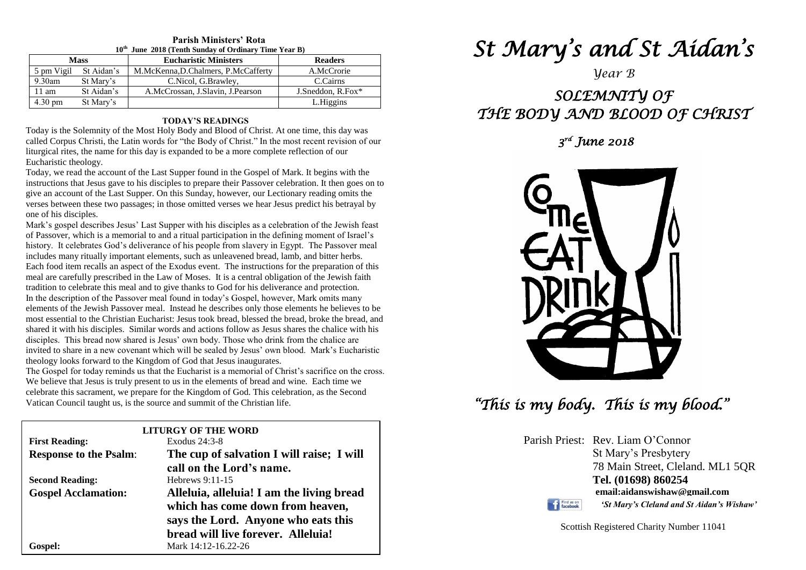| $10th$ June 2018 (Tenth Sunday of Ordinary Time Year B) |            |                                     |                     |  |  |
|---------------------------------------------------------|------------|-------------------------------------|---------------------|--|--|
| <b>Mass</b>                                             |            | <b>Eucharistic Ministers</b>        | <b>Readers</b>      |  |  |
| 5 pm Vigil                                              | St Aidan's | M.McKenna, D.Chalmers, P.McCafferty | A.McCrorie          |  |  |
| $9.30$ am                                               | St Mary's  | C. Nicol, G. Brawley,               | C.Cairns            |  |  |
| $11 \text{ am}$                                         | St Aidan's | A.McCrossan, J.Slavin, J.Pearson    | J.Sneddon, $R.Fox*$ |  |  |
| 4.30 pm                                                 | St Mary's  |                                     | L.Higgins           |  |  |

# **Parish Ministers' Rota**

#### **TODAY'S READINGS**

Today is the Solemnity of the Most Holy Body and Blood of Christ. At one time, this day was called Corpus Christi, the Latin words for "the Body of Christ." In the most recent revision of our liturgical rites, the name for this day is expanded to be a more complete reflection of our Eucharistic theology.

Today, we read the account of the Last Supper found in the Gospel of Mark. It begins with the instructions that Jesus gave to his disciples to prepare their Passover celebration. It then goes on to give an account of the Last Supper. On this Sunday, however, our Lectionary reading omits the verses between these two passages; in those omitted verses we hear Jesus predict his betrayal by one of his disciples.

In the description of the Passover meal. Instead he describes only those elements he believes to be<br>elements of the Jewish Passover meal. Instead he describes only those elements he believes to be shared it with his disciples. Similar words and actions follow as Jesus shares the chalice with<br>disciples. This bread now shared is Jesus' own body. Those who drink from the chalice are<br>invited to these in a game account w Mark's gospel describes Jesus' Last Supper with his disciples as a celebration of the Jewish feast of Passover, which is a memorial to and a ritual participation in the defining moment of Israel's history. It celebrates God's deliverance of his people from slavery in Egypt. The Passover meal includes many ritually important elements, such as unleavened bread, lamb, and bitter herbs. Each food item recalls an aspect of the Exodus event. The instructions for the preparation of this meal are carefully prescribed in the Law of Moses. It is a central obligation of the Jewish faith tradition to celebrate this meal and to give thanks to God for his deliverance and protection. In the description of the Passover meal found in today's Gospel, however, Mark omits many most essential to the Christian Eucharist: Jesus took bread, blessed the bread, broke the bread, and shared it with his disciples. Similar words and actions follow as Jesus shares the chalice with his invited to share in a new covenant which will be sealed by Jesus' own blood. Mark's Eucharistic theology looks forward to the Kingdom of God that Jesus inaugurates.

theology looks forward to the Kingdom of God that Jesus inaugurates.<br>The Gospel for today reminds us that the Eucharist is a memorial of Christ's sacrifice on the cross. celebrate this sacrament, we prepare for the Kingdom of God. This celeb Vatican Council taught us, is the source and summit of the Christian life. We believe that Jesus is truly present to us in the elements of bread and wine. Each time we celebrate this sacrament, we prepare for the Kingdom of God. This celebration, as the Second

| <b>LITURGY OF THE WORD</b>    |                                           |  |  |  |  |
|-------------------------------|-------------------------------------------|--|--|--|--|
| <b>First Reading:</b>         | Exodus $24:3-8$                           |  |  |  |  |
| <b>Response to the Psalm:</b> | The cup of salvation I will raise; I will |  |  |  |  |
|                               | call on the Lord's name.                  |  |  |  |  |
| <b>Second Reading:</b>        | Hebrews 9:11-15                           |  |  |  |  |
| <b>Gospel Acclamation:</b>    | Alleluia, alleluia! I am the living bread |  |  |  |  |
|                               | which has come down from heaven,          |  |  |  |  |
|                               | says the Lord. Anyone who eats this       |  |  |  |  |
|                               | bread will live forever. Alleluia!        |  |  |  |  |
| Gospel:                       | Mark 14:12-16.22-26                       |  |  |  |  |

# *St Mary's and St Aidan's*

# *Year B*

# *SOLEMNITY OF THE BODY AND BLOOD OF CHRIST*

*3 rd June 2018* 



 *"This is my body. This is my blood."* 

Parish Priest: Rev. Liam O'Connor St Mary's Presbytery 78 Main Street, Cleland. ML1 5QR **Tel. (01698) 860254 email:aidanswishaw@gmail.com** Find us on *'St Mary's Cleland and St Aidan's Wishaw'*

Scottish Registered Charity Number 11041